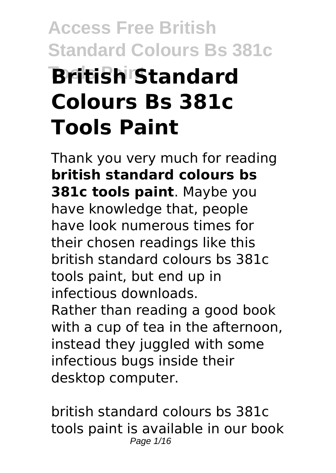# **Access Free British Standard Colours Bs 381c Tools Paint British Standard Colours Bs 381c Tools Paint**

Thank you very much for reading **british standard colours bs 381c tools paint**. Maybe you have knowledge that, people have look numerous times for their chosen readings like this british standard colours bs 381c tools paint, but end up in infectious downloads. Rather than reading a good book with a cup of tea in the afternoon, instead they juggled with some infectious bugs inside their desktop computer.

british standard colours bs 381c tools paint is available in our book Page 1/16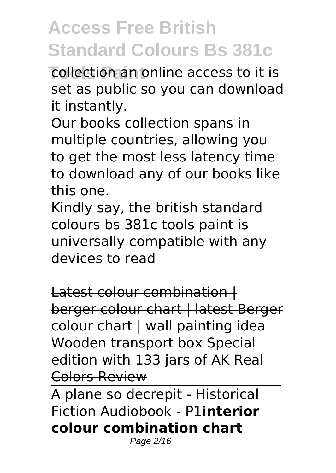**Tools Paint** collection an online access to it is set as public so you can download it instantly.

Our books collection spans in multiple countries, allowing you to get the most less latency time to download any of our books like this one.

Kindly say, the british standard colours bs 381c tools paint is universally compatible with any devices to read

Latest colour combination | berger colour chart | latest Berger colour chart | wall painting idea Wooden transport box Special edition with 133 jars of AK Real Colors Review

A plane so decrepit - Historical Fiction Audiobook - P1**interior colour combination chart**

Page 2/16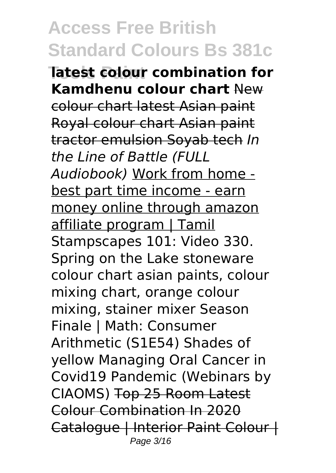**Tools Paint latest colour combination for Kamdhenu colour chart** New colour chart latest Asian paint Royal colour chart Asian paint tractor emulsion Soyab tech *In the Line of Battle (FULL Audiobook)* Work from home best part time income - earn money online through amazon affiliate program | Tamil Stampscapes 101: Video 330. Spring on the Lake stoneware colour chart asian paints, colour mixing chart, orange colour mixing, stainer mixer Season Finale | Math: Consumer Arithmetic (S1E54) Shades of yellow Managing Oral Cancer in Covid19 Pandemic (Webinars by CIAOMS) Top 25 Room Latest Colour Combination In 2020 Catalogue | Interior Paint Colour | Page 3/16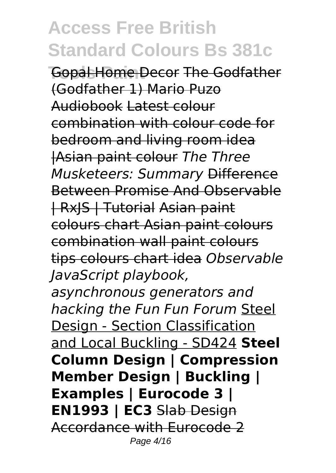**Gopal Home Decor The Godfather** (Godfather 1) Mario Puzo Audiobook Latest colour combination with colour code for bedroom and living room idea |Asian paint colour *The Three Musketeers: Summary* Difference Between Promise And Observable | RxJS | Tutorial Asian paint colours chart Asian paint colours combination wall paint colours tips colours chart idea *Observable JavaScript playbook,*

*asynchronous generators and hacking the Fun Fun Forum* Steel Design - Section Classification and Local Buckling - SD424 **Steel Column Design | Compression Member Design | Buckling | Examples | Eurocode 3 | EN1993 | EC3** Slab Design Accordance with Eurocode 2 Page 4/16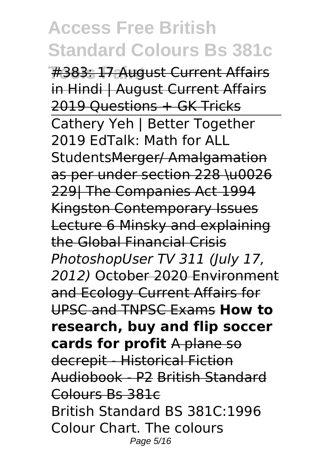#383: 17 August Current Affairs in Hindi | August Current Affairs 2019 Questions + GK Tricks Cathery Yeh | Better Together 2019 EdTalk: Math for ALL StudentsMerger/ Amalgamation as per under section 228 \u0026 229| The Companies Act 1994 Kingston Contemporary Issues Lecture 6 Minsky and explaining the Global Financial Crisis *PhotoshopUser TV 311 (July 17, 2012)* October 2020 Environment and Ecology Current Affairs for UPSC and TNPSC Exams **How to research, buy and flip soccer cards for profit** A plane so decrepit - Historical Fiction Audiobook - P2 British Standard Colours Bs 381c British Standard BS 381C:1996 Colour Chart. The colours Page 5/16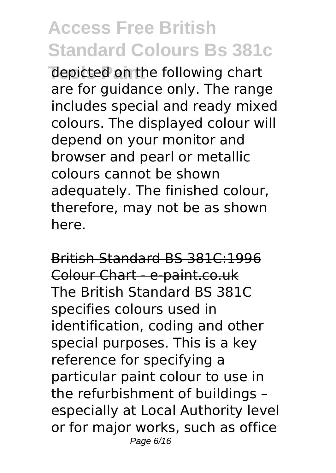**The picted on the following chart** are for guidance only. The range includes special and ready mixed colours. The displayed colour will depend on your monitor and browser and pearl or metallic colours cannot be shown adequately. The finished colour, therefore, may not be as shown here.

British Standard BS 381C:1996 Colour Chart - e-paint.co.uk The British Standard BS 381C specifies colours used in identification, coding and other special purposes. This is a key reference for specifying a particular paint colour to use in the refurbishment of buildings – especially at Local Authority level or for major works, such as office Page 6/16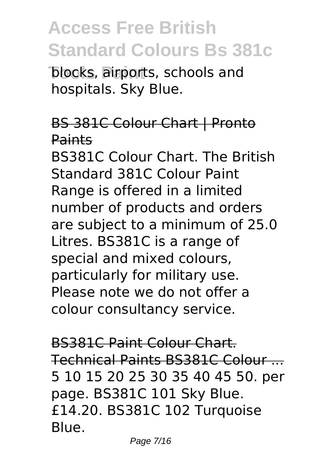**Tolocks, airports, schools and** hospitals. Sky Blue.

#### BS 381C Colour Chart | Pronto Paints

BS381C Colour Chart. The British Standard 381C Colour Paint Range is offered in a limited number of products and orders are subject to a minimum of 25.0 Litres. BS381C is a range of special and mixed colours, particularly for military use. Please note we do not offer a colour consultancy service.

BS381C Paint Colour Chart. Technical Paints BS381C Colour ... 5 10 15 20 25 30 35 40 45 50. per page. BS381C 101 Sky Blue. £14.20. BS381C 102 Turquoise Blue.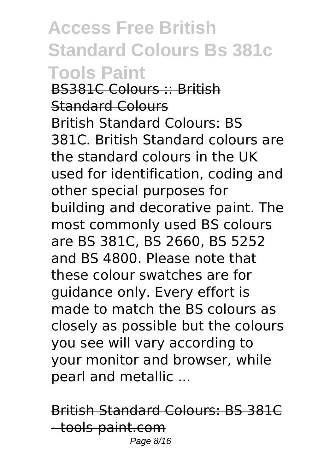**Access Free British Standard Colours Bs 381c Tools Paint** BS381C Colours :: British Standard Colours British Standard Colours: BS 381C. British Standard colours are the standard colours in the UK used for identification, coding and other special purposes for building and decorative paint. The most commonly used BS colours are BS 381C, BS 2660, BS 5252 and BS 4800. Please note that these colour swatches are for guidance only. Every effort is made to match the BS colours as closely as possible but the colours you see will vary according to your monitor and browser, while pearl and metallic ...

British Standard Colours: BS 381C - tools-paint.com Page 8/16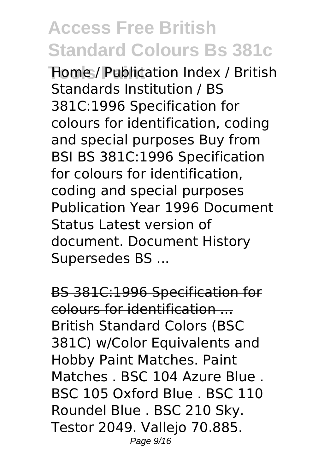**Tools Paint** Home / Publication Index / British Standards Institution / BS 381C:1996 Specification for colours for identification, coding and special purposes Buy from BSI BS 381C:1996 Specification for colours for identification, coding and special purposes Publication Year 1996 Document Status Latest version of document. Document History Supersedes BS ...

BS 381C:1996 Specification for colours for identification ... British Standard Colors (BSC 381C) w/Color Equivalents and Hobby Paint Matches. Paint Matches . BSC 104 Azure Blue . BSC 105 Oxford Blue . BSC 110 Roundel Blue . BSC 210 Sky. Testor 2049. Vallejo 70.885. Page 9/16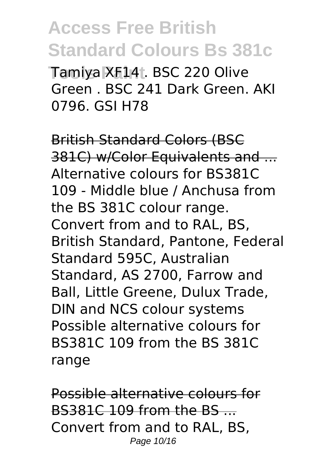**Tools Paint** Tamiya XF14 . BSC 220 Olive Green . BSC 241 Dark Green. AKI 0796. GSI H78

British Standard Colors (BSC 381C) w/Color Equivalents and ... Alternative colours for BS381C 109 - Middle blue / Anchusa from the BS 381C colour range. Convert from and to RAL, BS, British Standard, Pantone, Federal Standard 595C, Australian Standard, AS 2700, Farrow and Ball, Little Greene, Dulux Trade, DIN and NCS colour systems Possible alternative colours for BS381C 109 from the BS 381C range

Possible alternative colours for BS381C 109 from the BS ... Convert from and to RAL, BS, Page 10/16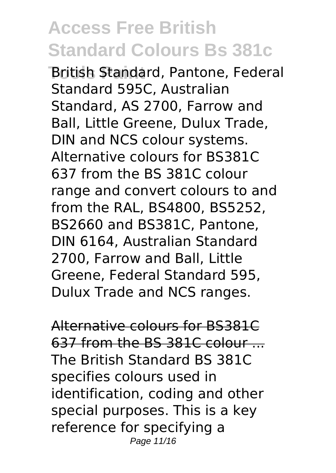**British Standard, Pantone, Federal** Standard 595C, Australian Standard, AS 2700, Farrow and Ball, Little Greene, Dulux Trade, DIN and NCS colour systems. Alternative colours for BS381C 637 from the BS 381C colour range and convert colours to and from the RAL, BS4800, BS5252, BS2660 and BS381C, Pantone, DIN 6164, Australian Standard 2700, Farrow and Ball, Little Greene, Federal Standard 595, Dulux Trade and NCS ranges.

Alternative colours for BS381C 637 from the BS 381C colour ... The British Standard BS 381C specifies colours used in identification, coding and other special purposes. This is a key reference for specifying a Page 11/16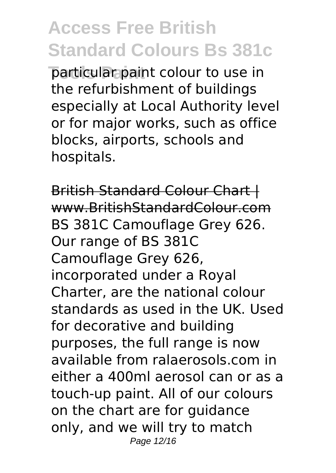**Tools Paint** particular paint colour to use in the refurbishment of buildings especially at Local Authority level or for major works, such as office blocks, airports, schools and hospitals.

British Standard Colour Chart | www.BritishStandardColour.com BS 381C Camouflage Grey 626. Our range of BS 381C Camouflage Grey 626, incorporated under a Royal Charter, are the national colour standards as used in the UK. Used for decorative and building purposes, the full range is now available from ralaerosols.com in either a 400ml aerosol can or as a touch-up paint. All of our colours on the chart are for guidance only, and we will try to match Page 12/16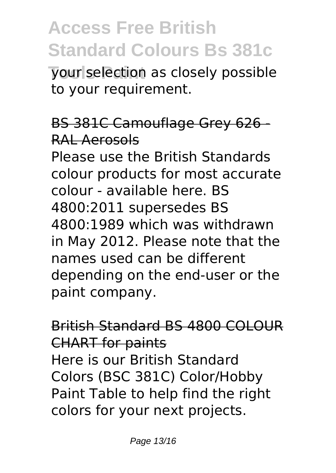**Vour selection as closely possible** to your requirement.

#### BS 381C Camouflage Grey 626 - RAL Aerosols

Please use the British Standards colour products for most accurate colour - available here. BS 4800:2011 supersedes BS 4800:1989 which was withdrawn in May 2012. Please note that the names used can be different depending on the end-user or the paint company.

#### British Standard BS 4800 COLOUR CHART for paints Here is our British Standard Colors (BSC 381C) Color/Hobby Paint Table to help find the right colors for your next projects.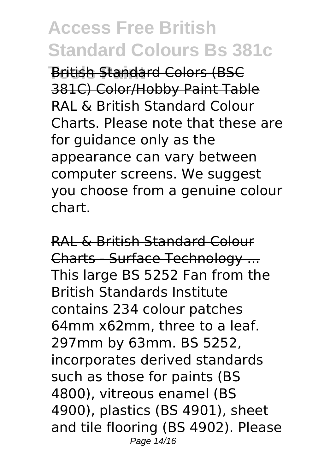**British Standard Colors (BSC** 381C) Color/Hobby Paint Table RAL & British Standard Colour Charts. Please note that these are for guidance only as the appearance can vary between computer screens. We suggest you choose from a genuine colour chart.

RAL & British Standard Colour Charts - Surface Technology ... This large BS 5252 Fan from the British Standards Institute contains 234 colour patches 64mm x62mm, three to a leaf. 297mm by 63mm. BS 5252, incorporates derived standards such as those for paints (BS 4800), vitreous enamel (BS 4900), plastics (BS 4901), sheet and tile flooring (BS 4902). Please Page 14/16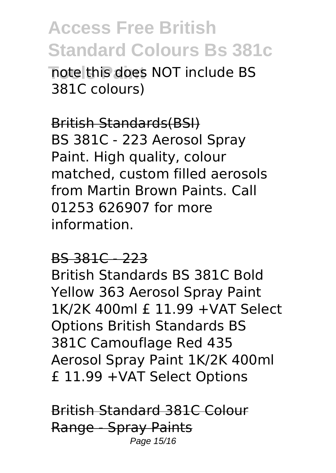**Tote this does NOT include BS** 381C colours)

British Standards(BSI) BS 381C - 223 Aerosol Spray Paint. High quality, colour matched, custom filled aerosols from Martin Brown Paints. Call 01253 626907 for more information.

#### BS 381C - 223

British Standards BS 381C Bold Yellow 363 Aerosol Spray Paint 1K/2K 400ml £ 11.99 +VAT Select Options British Standards BS 381C Camouflage Red 435 Aerosol Spray Paint 1K/2K 400ml £ 11.99 +VAT Select Options

British Standard 381C Colour Range - Spray Paints Page 15/16